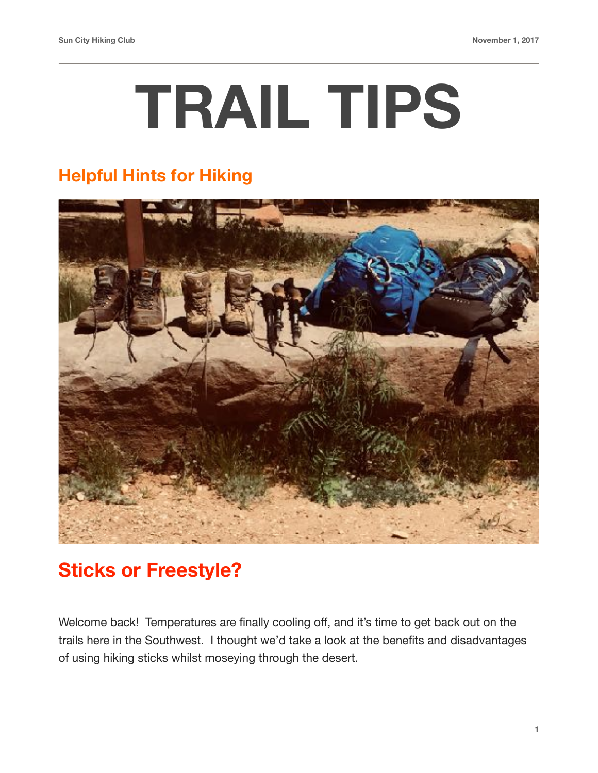## **TRAIL TIPS**

## **Helpful Hints for Hiking**



## **Sticks or Freestyle?**

Welcome back! Temperatures are finally cooling off, and it's time to get back out on the trails here in the Southwest. I thought we'd take a look at the benefits and disadvantages of using hiking sticks whilst moseying through the desert.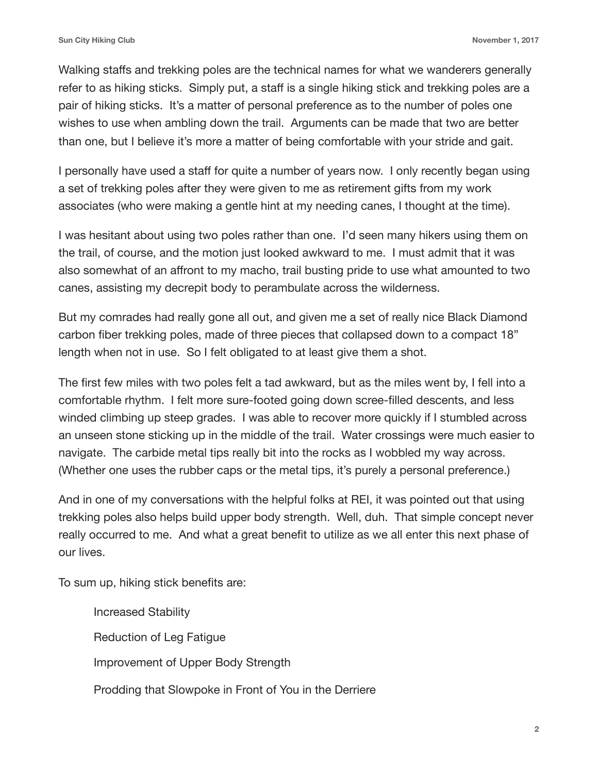Walking staffs and trekking poles are the technical names for what we wanderers generally refer to as hiking sticks. Simply put, a staff is a single hiking stick and trekking poles are a pair of hiking sticks. It's a matter of personal preference as to the number of poles one wishes to use when ambling down the trail. Arguments can be made that two are better than one, but I believe it's more a matter of being comfortable with your stride and gait.

I personally have used a staff for quite a number of years now. I only recently began using a set of trekking poles after they were given to me as retirement gifts from my work associates (who were making a gentle hint at my needing canes, I thought at the time).

I was hesitant about using two poles rather than one. I'd seen many hikers using them on the trail, of course, and the motion just looked awkward to me. I must admit that it was also somewhat of an affront to my macho, trail busting pride to use what amounted to two canes, assisting my decrepit body to perambulate across the wilderness.

But my comrades had really gone all out, and given me a set of really nice Black Diamond carbon fiber trekking poles, made of three pieces that collapsed down to a compact 18" length when not in use. So I felt obligated to at least give them a shot.

The first few miles with two poles felt a tad awkward, but as the miles went by, I fell into a comfortable rhythm. I felt more sure-footed going down scree-filled descents, and less winded climbing up steep grades. I was able to recover more quickly if I stumbled across an unseen stone sticking up in the middle of the trail. Water crossings were much easier to navigate. The carbide metal tips really bit into the rocks as I wobbled my way across. (Whether one uses the rubber caps or the metal tips, it's purely a personal preference.)

And in one of my conversations with the helpful folks at REI, it was pointed out that using trekking poles also helps build upper body strength. Well, duh. That simple concept never really occurred to me. And what a great benefit to utilize as we all enter this next phase of our lives.

To sum up, hiking stick benefits are:

Increased Stability Reduction of Leg Fatigue Improvement of Upper Body Strength Prodding that Slowpoke in Front of You in the Derriere